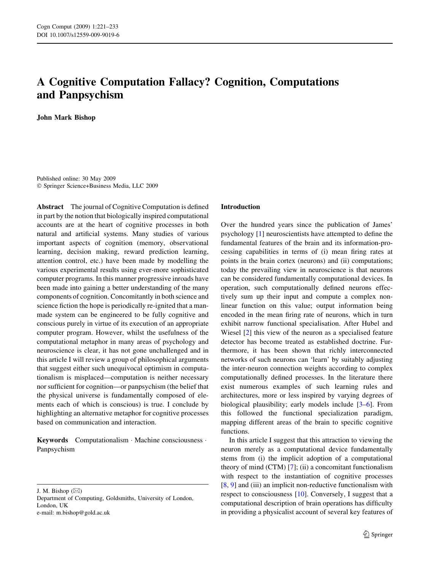# A Cognitive Computation Fallacy? Cognition, Computations and Panpsychism

John Mark Bishop

Published online: 30 May 2009 Springer Science+Business Media, LLC 2009

Abstract The journal of Cognitive Computation is defined in part by the notion that biologically inspired computational accounts are at the heart of cognitive processes in both natural and artificial systems. Many studies of various important aspects of cognition (memory, observational learning, decision making, reward prediction learning, attention control, etc.) have been made by modelling the various experimental results using ever-more sophisticated computer programs. In this manner progressive inroads have been made into gaining a better understanding of the many components of cognition. Concomitantly in both science and science fiction the hope is periodically re-ignited that a manmade system can be engineered to be fully cognitive and conscious purely in virtue of its execution of an appropriate computer program. However, whilst the usefulness of the computational metaphor in many areas of psychology and neuroscience is clear, it has not gone unchallenged and in this article I will review a group of philosophical arguments that suggest either such unequivocal optimism in computationalism is misplaced—computation is neither necessary nor sufficient for cognition—or panpsychism (the belief that the physical universe is fundamentally composed of elements each of which is conscious) is true. I conclude by highlighting an alternative metaphor for cognitive processes based on communication and interaction.

Keywords Computationalism · Machine consciousness · Panpsychism

J. M. Bishop  $(\boxtimes)$ 

Department of Computing, Goldsmiths, University of London, London, UK e-mail: m.bishop@gold.ac.uk

#### Introduction

Over the hundred years since the publication of James' psychology [\[1](#page-11-0)] neuroscientists have attempted to define the fundamental features of the brain and its information-processing capabilities in terms of (i) mean firing rates at points in the brain cortex (neurons) and (ii) computations; today the prevailing view in neuroscience is that neurons can be considered fundamentally computational devices. In operation, such computationally defined neurons effectively sum up their input and compute a complex nonlinear function on this value; output information being encoded in the mean firing rate of neurons, which in turn exhibit narrow functional specialisation. After Hubel and Wiesel [\[2](#page-11-0)] this view of the neuron as a specialised feature detector has become treated as established doctrine. Furthermore, it has been shown that richly interconnected networks of such neurons can 'learn' by suitably adjusting the inter-neuron connection weights according to complex computationally defined processes. In the literature there exist numerous examples of such learning rules and architectures, more or less inspired by varying degrees of biological plausibility; early models include [[3–6\]](#page-11-0). From this followed the functional specialization paradigm, mapping different areas of the brain to specific cognitive functions.

In this article I suggest that this attraction to viewing the neuron merely as a computational device fundamentally stems from (i) the implicit adoption of a computational theory of mind (CTM) [[7\]](#page-11-0); (ii) a concomitant functionalism with respect to the instantiation of cognitive processes [\[8](#page-11-0), [9](#page-11-0)] and (iii) an implicit non-reductive functionalism with respect to consciousness [[10\]](#page-11-0). Conversely, I suggest that a computational description of brain operations has difficulty in providing a physicalist account of several key features of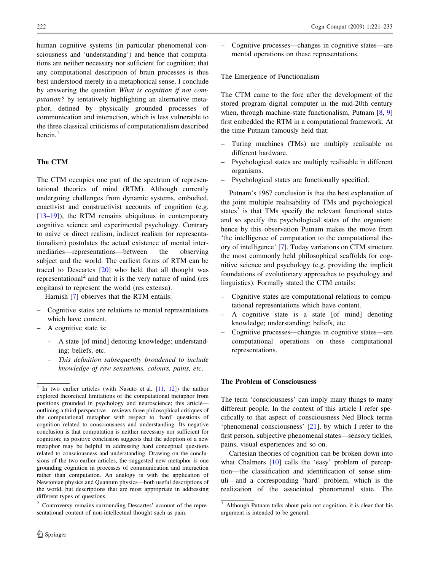human cognitive systems (in particular phenomenal consciousness and 'understanding') and hence that computations are neither necessary nor sufficient for cognition; that any computational description of brain processes is thus best understood merely in a metaphorical sense. I conclude by answering the question What is cognition if not computation? by tentatively highlighting an alternative metaphor, defined by physically grounded processes of communication and interaction, which is less vulnerable to the three classical criticisms of computationalism described herein. $<sup>1</sup>$ </sup>

# The CTM

The CTM occupies one part of the spectrum of representational theories of mind (RTM). Although currently undergoing challenges from dynamic systems, embodied, enactivist and constructivist accounts of cognition (e.g. [\[13–19](#page-11-0)]), the RTM remains ubiquitous in contemporary cognitive science and experimental psychology. Contrary to naive or direct realism, indirect realism (or representationalism) postulates the actual existence of mental intermediaries—representations—between the observing subject and the world. The earliest forms of RTM can be traced to Descartes [\[20](#page-11-0)] who held that all thought was representational<sup>2</sup> and that it is the very nature of mind (res cogitans) to represent the world (res extensa).

Harnish [[7\]](#page-11-0) observes that the RTM entails:

- Cognitive states are relations to mental representations which have content.
- A cognitive state is:
	- A state [of mind] denoting knowledge; understanding; beliefs, etc.
	- This definition subsequently broadened to include knowledge of raw sensations, colours, pains, etc.

<sup>2</sup> Controversy remains surrounding Descartes' account of the representational content of non-intellectual thought such as pain.

– Cognitive processes—changes in cognitive states—are mental operations on these representations.

## The Emergence of Functionalism

The CTM came to the fore after the development of the stored program digital computer in the mid-20th century when, through machine-state functionalism, Putnam [\[8](#page-11-0), [9\]](#page-11-0) first embedded the RTM in a computational framework. At the time Putnam famously held that:

- Turing machines (TMs) are multiply realisable on different hardware.
- Psychological states are multiply realisable in different organisms.
- Psychological states are functionally specified.

Putnam's 1967 conclusion is that the best explanation of the joint multiple realisability of TMs and psychological states $3$  is that TMs specify the relevant functional states and so specify the psychological states of the organism; hence by this observation Putnam makes the move from 'the intelligence of computation to the computational theory of intelligence' [[7\]](#page-11-0). Today variations on CTM structure the most commonly held philosophical scaffolds for cognitive science and psychology (e.g. providing the implicit foundations of evolutionary approaches to psychology and linguistics). Formally stated the CTM entails:

- Cognitive states are computational relations to computational representations which have content.
- A cognitive state is a state [of mind] denoting knowledge; understanding; beliefs, etc.
- Cognitive processes—changes in cognitive states—are computational operations on these computational representations.

## The Problem of Consciousness

The term 'consciousness' can imply many things to many different people. In the context of this article I refer specifically to that aspect of consciousness Ned Block terms 'phenomenal consciousness' [\[21](#page-11-0)], by which I refer to the first person, subjective phenomenal states—sensory tickles, pains, visual experiences and so on.

Cartesian theories of cognition can be broken down into what Chalmers [\[10](#page-11-0)] calls the 'easy' problem of perception—the classification and identification of sense stimuli—and a corresponding 'hard' problem, which is the realization of the associated phenomenal state. The

<sup>&</sup>lt;sup>1</sup> In two earlier articles (with Nasuto et al.  $[11, 12]$  $[11, 12]$  $[11, 12]$  $[11, 12]$  $[11, 12]$ ) the author explored theoretical limitations of the computational metaphor from positions grounded in psychology and neuroscience; this article outlining a third perspective—reviews three philosophical critiques of the computational metaphor with respect to 'hard' questions of cognition related to consciousness and understanding. Its negative conclusion is that computation is neither necessary nor sufficient for cognition; its positive conclusion suggests that the adoption of a new metaphor may be helpful in addressing hard conceptual questions related to consciousness and understanding. Drawing on the conclusions of the two earlier articles, the suggested new metaphor is one grounding cognition in processes of communication and interaction rather than computation. An analogy is with the application of Newtonian physics and Quantum physics—both useful descriptions of the world, but descriptions that are most appropriate in addressing different types of questions.

<sup>&</sup>lt;sup>3</sup> Although Putnam talks about pain not cognition, it is clear that his argument is intended to be general.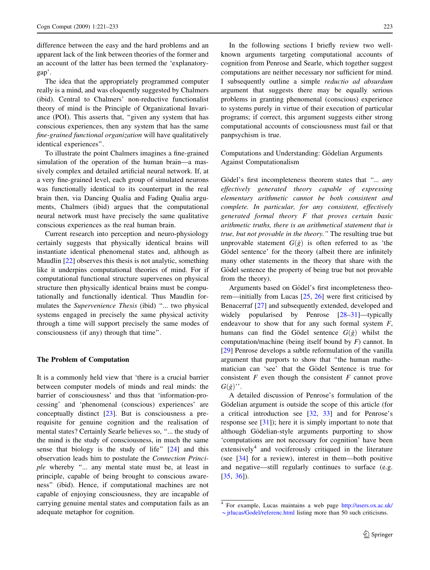<span id="page-2-0"></span>difference between the easy and the hard problems and an apparent lack of the link between theories of the former and an account of the latter has been termed the 'explanatorygap'.

The idea that the appropriately programmed computer really is a mind, and was eloquently suggested by Chalmers (ibid). Central to Chalmers' non-reductive functionalist theory of mind is the Principle of Organizational Invariance (POI). This asserts that, ''given any system that has conscious experiences, then any system that has the same fine-grained functional organization will have qualitatively identical experiences''.

To illustrate the point Chalmers imagines a fine-grained simulation of the operation of the human brain—a massively complex and detailed artificial neural network. If, at a very fine-grained level, each group of simulated neurons was functionally identical to its counterpart in the real brain then, via Dancing Qualia and Fading Qualia arguments, Chalmers (ibid) argues that the computational neural network must have precisely the same qualitative conscious experiences as the real human brain.

Current research into perception and neuro-physiology certainly suggests that physically identical brains will instantiate identical phenomenal states and, although as Maudlin [[22\]](#page-11-0) observes this thesis is not analytic, something like it underpins computational theories of mind. For if computational functional structure supervenes on physical structure then physically identical brains must be computationally and functionally identical. Thus Maudlin formulates the Supervenience Thesis (ibid) "... two physical systems engaged in precisely the same physical activity through a time will support precisely the same modes of consciousness (if any) through that time''.

# The Problem of Computation

It is a commonly held view that 'there is a crucial barrier between computer models of minds and real minds: the barrier of consciousness' and thus that 'information-processing' and 'phenomenal (conscious) experiences' are conceptually distinct [[23\]](#page-11-0). But is consciousness a prerequisite for genuine cognition and the realisation of mental states? Certainly Searle believes so, ''... the study of the mind is the study of consciousness, in much the same sense that biology is the study of life'' [\[24](#page-11-0)] and this observation leads him to postulate the Connection Principle whereby "... any mental state must be, at least in principle, capable of being brought to conscious awareness'' (ibid). Hence, if computational machines are not capable of enjoying consciousness, they are incapable of carrying genuine mental states and computation fails as an adequate metaphor for cognition.

In the following sections I briefly review two wellknown arguments targeting computational accounts of cognition from Penrose and Searle, which together suggest computations are neither necessary nor sufficient for mind. I subsequently outline a simple reductio ad absurdum argument that suggests there may be equally serious problems in granting phenomenal (conscious) experience to systems purely in virtue of their execution of particular programs; if correct, this argument suggests either strong computational accounts of consciousness must fail or that panpsychism is true.

Computations and Understanding: Gödelian Arguments Against Computationalism

Gödel's first incompleteness theorem states that "... any effectively generated theory capable of expressing elementary arithmetic cannot be both consistent and complete. In particular, for any consistent, effectively generated formal theory F that proves certain basic arithmetic truths, there is an arithmetical statement that is true, but not provable in the theory.'' The resulting true but unprovable statement  $G(\check{g})$  is often referred to as 'the Gödel sentence' for the theory (albeit there are infinitely many other statements in the theory that share with the Gödel sentence the property of being true but not provable from the theory).

Arguments based on Gödel's first incompleteness theorem—initially from Lucas [[25,](#page-11-0) [26\]](#page-11-0) were first criticised by Benacerraf [\[27](#page-11-0)] and subsequently extended, developed and widely popularised by Penrose [[28–31\]](#page-11-0)—typically endeavour to show that for any such formal system  $F$ , humans can find the Gödel sentence  $G(\check{g})$  whilst the computation/machine (being itself bound by F) cannot. In [\[29](#page-11-0)] Penrose develops a subtle reformulation of the vanilla argument that purports to show that ''the human mathematician can 'see' that the Gödel Sentence is true for consistent  $F$  even though the consistent  $F$  cannot prove  $G(\check{g})$ ".

A detailed discussion of Penrose's formulation of the Gödelian argument is outside the scope of this article (for a critical introduction see [[32,](#page-11-0) [33](#page-11-0)] and for Penrose's response see [[31](#page-11-0)]); here it is simply important to note that although Gödelian-style arguments purporting to show 'computations are not necessary for cognition' have been extensively<sup>4</sup> and vociferously critiqued in the literature (see [[34](#page-12-0)] for a review), interest in them—both positive and negative—still regularly continues to surface (e.g. [\[35](#page-12-0), [36\]](#page-12-0)).

<sup>4</sup> For example, Lucas maintains a web page [http://users.ox.ac.uk/](http://users.ox.ac.uk/~jrlucas/Godel/referenc.html)  $\sim$  irlucas/Godel/referenc.html listing more than 50 such criticisms.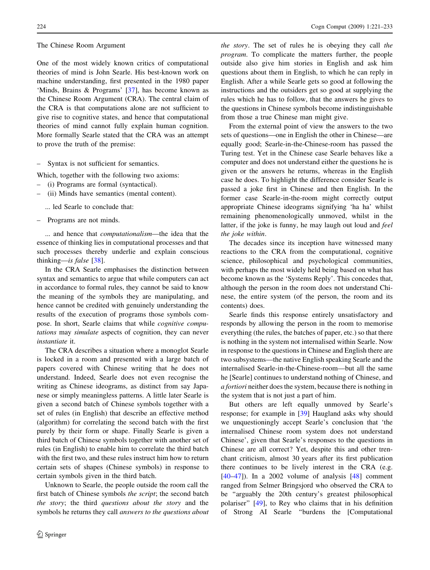The Chinese Room Argument

One of the most widely known critics of computational theories of mind is John Searle. His best-known work on machine understanding, first presented in the 1980 paper 'Minds, Brains & Programs' [\[37](#page-12-0)], has become known as the Chinese Room Argument (CRA). The central claim of the CRA is that computations alone are not sufficient to give rise to cognitive states, and hence that computational theories of mind cannot fully explain human cognition. More formally Searle stated that the CRA was an attempt to prove the truth of the premise:

– Syntax is not sufficient for semantics.

Which, together with the following two axioms:

- (i) Programs are formal (syntactical).
- (ii) Minds have semantics (mental content).

... led Searle to conclude that:

– Programs are not minds.

... and hence that computationalism—the idea that the essence of thinking lies in computational processes and that such processes thereby underlie and explain conscious thinking—is false  $[38]$  $[38]$ .

In the CRA Searle emphasises the distinction between syntax and semantics to argue that while computers can act in accordance to formal rules, they cannot be said to know the meaning of the symbols they are manipulating, and hence cannot be credited with genuinely understanding the results of the execution of programs those symbols compose. In short, Searle claims that while cognitive computations may simulate aspects of cognition, they can never instantiate it.

The CRA describes a situation where a monoglot Searle is locked in a room and presented with a large batch of papers covered with Chinese writing that he does not understand. Indeed, Searle does not even recognise the writing as Chinese ideograms, as distinct from say Japanese or simply meaningless patterns. A little later Searle is given a second batch of Chinese symbols together with a set of rules (in English) that describe an effective method (algorithm) for correlating the second batch with the first purely by their form or shape. Finally Searle is given a third batch of Chinese symbols together with another set of rules (in English) to enable him to correlate the third batch with the first two, and these rules instruct him how to return certain sets of shapes (Chinese symbols) in response to certain symbols given in the third batch.

Unknown to Searle, the people outside the room call the first batch of Chinese symbols the script; the second batch the story; the third questions about the story and the symbols he returns they call answers to the questions about the story. The set of rules he is obeying they call the program. To complicate the matters further, the people outside also give him stories in English and ask him questions about them in English, to which he can reply in English. After a while Searle gets so good at following the instructions and the outsiders get so good at supplying the rules which he has to follow, that the answers he gives to the questions in Chinese symbols become indistinguishable from those a true Chinese man might give.

From the external point of view the answers to the two sets of questions—one in English the other in Chinese—are equally good; Searle-in-the-Chinese-room has passed the Turing test. Yet in the Chinese case Searle behaves like a computer and does not understand either the questions he is given or the answers he returns, whereas in the English case he does. To highlight the difference consider Searle is passed a joke first in Chinese and then English. In the former case Searle-in-the-room might correctly output appropriate Chinese ideograms signifying 'ha ha' whilst remaining phenomenologically unmoved, whilst in the latter, if the joke is funny, he may laugh out loud and feel the joke within.

The decades since its inception have witnessed many reactions to the CRA from the computational, cognitive science, philosophical and psychological communities, with perhaps the most widely held being based on what has become known as the 'Systems Reply'. This concedes that, although the person in the room does not understand Chinese, the entire system (of the person, the room and its contents) does.

Searle finds this response entirely unsatisfactory and responds by allowing the person in the room to memorise everything (the rules, the batches of paper, etc.) so that there is nothing in the system not internalised within Searle. Now in response to the questions in Chinese and English there are two subsystems—the native English speaking Searle and the internalised Searle-in-the-Chinese-room—but all the same he [Searle] continues to understand nothing of Chinese, and a fortiori neither does the system, because there is nothing in the system that is not just a part of him.

But others are left equally unmoved by Searle's response; for example in [[39\]](#page-12-0) Haugland asks why should we unquestioningly accept Searle's conclusion that 'the internalised Chinese room system does not understand Chinese', given that Searle's responses to the questions in Chinese are all correct? Yet, despite this and other trenchant criticism, almost 30 years after its first publication there continues to be lively interest in the CRA (e.g.  $[40-47]$ ). In a 2002 volume of analysis  $[48]$  $[48]$  comment ranged from Selmer Bringsjord who observed the CRA to be ''arguably the 20th century's greatest philosophical polariser'' [\[49](#page-12-0)], to Rey who claims that in his definition of Strong AI Searle ''burdens the [Computational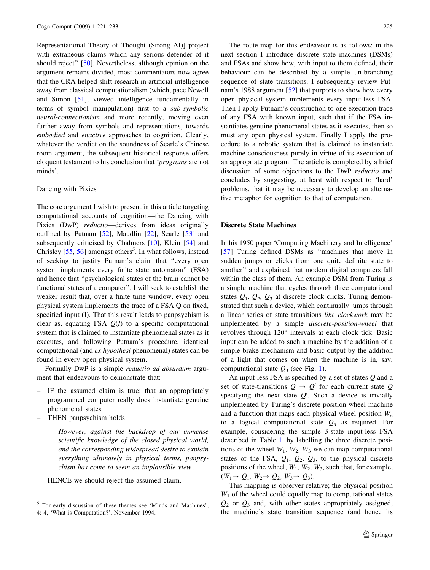Representational Theory of Thought (Strong AI)] project with extraneous claims which any serious defender of it should reject'' [\[50](#page-12-0)]. Nevertheless, although opinion on the argument remains divided, most commentators now agree that the CRA helped shift research in artificial intelligence away from classical computationalism (which, pace Newell and Simon [\[51](#page-12-0)], viewed intelligence fundamentally in terms of symbol manipulation) first to a sub-symbolic neural-connectionism and more recently, moving even further away from symbols and representations, towards embodied and enactive approaches to cognition. Clearly, whatever the verdict on the soundness of Searle's Chinese room argument, the subsequent historical response offers eloquent testament to his conclusion that 'programs are not minds'.

### Dancing with Pixies

The core argument I wish to present in this article targeting computational accounts of cognition—the Dancing with Pixies (DwP) *reductio*—derives from ideas originally outlined by Putnam [\[52](#page-12-0)], Maudlin [[22\]](#page-11-0), Searle [[53\]](#page-12-0) and subsequently criticised by Chalmers [[10\]](#page-11-0), Klein [\[54](#page-12-0)] and Chrisley  $[55, 56]$  $[55, 56]$  $[55, 56]$  $[55, 56]$  $[55, 56]$  amongst others<sup>5</sup>. In what follows, instead of seeking to justify Putnam's claim that ''every open system implements every finite state automaton'' (FSA) and hence that ''psychological states of the brain cannot be functional states of a computer'', I will seek to establish the weaker result that, over a finite time window, every open physical system implements the trace of a FSA Q on fixed, specified input (I). That this result leads to panpsychism is clear as, equating FSA  $Q(I)$  to a specific computational system that is claimed to instantiate phenomenal states as it executes, and following Putnam's procedure, identical computational (and ex hypothesi phenomenal) states can be found in every open physical system.

Formally DwP is a simple reductio ad absurdum argument that endeavours to demonstrate that:

- IF the assumed claim is true: that an appropriately programmed computer really does instantiate genuine phenomenal states
- THEN panpsychism holds
	- However, against the backdrop of our immense scientific knowledge of the closed physical world, and the corresponding widespread desire to explain everything ultimately in physical terms, panpsychism has come to seem an implausible view...
- HENCE we should reject the assumed claim.

The route-map for this endeavour is as follows: in the next section I introduce discrete state machines (DSMs) and FSAs and show how, with input to them defined, their behaviour can be described by a simple un-branching sequence of state transitions. I subsequently review Putnam's 1988 argument [\[52](#page-12-0)] that purports to show how every open physical system implements every input-less FSA. Then I apply Putnam's construction to one execution trace of any FSA with known input, such that if the FSA instantiates genuine phenomenal states as it executes, then so must any open physical system. Finally I apply the procedure to a robotic system that is claimed to instantiate machine consciousness purely in virtue of its execution of an appropriate program. The article is completed by a brief discussion of some objections to the DwP reductio and concludes by suggesting, at least with respect to 'hard' problems, that it may be necessary to develop an alternative metaphor for cognition to that of computation.

# Discrete State Machines

In his 1950 paper 'Computing Machinery and Intelligence' [\[57](#page-12-0)] Turing defined DSMs as ''machines that move in sudden jumps or clicks from one quite definite state to another'' and explained that modern digital computers fall within the class of them. An example DSM from Turing is a simple machine that cycles through three computational states  $Q_1$ ,  $Q_2$ ,  $Q_3$  at discrete clock clicks. Turing demonstrated that such a device, which continually jumps through a linear series of state transitions like clockwork may be implemented by a simple discrete-position-wheel that revolves through 120° intervals at each clock tick. Basic input can be added to such a machine by the addition of a simple brake mechanism and basic output by the addition of a light that comes on when the machine is in, say, computational state  $Q_3$  (see Fig. [1](#page-5-0)).

An input-less FSA is specified by a set of states  $Q$  and a set of state-transitions  $Q \rightarrow Q'$  for each current state Q specifying the next state  $Q'$ . Such a device is trivially implemented by Turing's discrete-position-wheel machine and a function that maps each physical wheel position  $W_n$ to a logical computational state  $Q_n$  as required. For example, considering the simple 3-state input-less FSA described in Table [1,](#page-5-0) by labelling the three discrete positions of the wheel  $W_1$ ,  $W_2$ ,  $W_3$  we can map computational states of the FSA,  $Q_1$ ,  $Q_2$ ,  $Q_3$ , to the physical discrete positions of the wheel,  $W_1$ ,  $W_2$ ,  $W_3$ , such that, for example,  $(W_1 \rightarrow Q_1, W_2 \rightarrow Q_2, W_3 \rightarrow Q_3).$ 

This mapping is observer relative; the physical position  $W<sub>1</sub>$  of the wheel could equally map to computational states  $Q_2$  or  $Q_3$  and, with other states appropriately assigned, the machine's state transition sequence (and hence its

<sup>5</sup> For early discussion of these themes see 'Minds and Machines', 4: 4, 'What is Computation?', November 1994.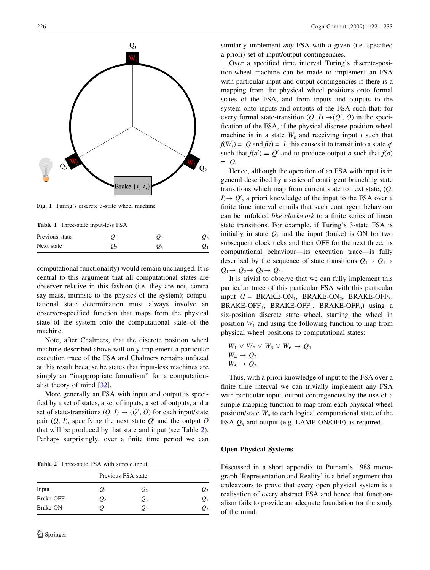<span id="page-5-0"></span>

Fig. 1 Turing's discrete 3-state wheel machine

Table 1 Three-state input-less FSA

| Previous state |  |  |
|----------------|--|--|
| Next state     |  |  |

computational functionality) would remain unchanged. It is central to this argument that all computational states are observer relative in this fashion (i.e. they are not, contra say mass, intrinsic to the physics of the system); computational state determination must always involve an observer-specified function that maps from the physical state of the system onto the computational state of the machine.

Note, after Chalmers, that the discrete position wheel machine described above will only implement a particular execution trace of the FSA and Chalmers remains unfazed at this result because he states that input-less machines are simply an "inappropriate formalism" for a computationalist theory of mind [[32\]](#page-11-0).

More generally an FSA with input and output is specified by a set of states, a set of inputs, a set of outputs, and a set of state-transitions  $(Q, I) \rightarrow (Q', O)$  for each input/state pair  $(Q, I)$ , specifying the next state  $Q'$  and the output O that will be produced by that state and input (see Table 2). Perhaps surprisingly, over a finite time period we can

Table 2 Three-state FSA with simple input

|                  | Previous FSA state |                 |               |
|------------------|--------------------|-----------------|---------------|
| Input            | $\varrho_{1}$      | $\mathcal{Q}_2$ | $\varrho_{3}$ |
| <b>Brake-OFF</b> | $Q_{2}$            | $Q_3$           | $\varrho_{1}$ |
| Brake-ON         | $U_1$              | $Q_2$           | $Q_3$         |

similarly implement *any* FSA with a given (i.e. specified a priori) set of input/output contingencies.

Over a specified time interval Turing's discrete-position-wheel machine can be made to implement an FSA with particular input and output contingencies if there is a mapping from the physical wheel positions onto formal states of the FSA, and from inputs and outputs to the system onto inputs and outputs of the FSA such that: for every formal state-transition  $(Q, I) \rightarrow (Q', O)$  in the specification of the FSA, if the physical discrete-position-wheel machine is in a state  $W_s$  and receiving input i such that  $f(W_s) = Q$  and  $f(i) = I$ , this causes it to transit into a state q' such that  $f(q') = Q'$  and to produce output o such that  $f(o)$  $=$   $O$ .

Hence, although the operation of an FSA with input is in general described by a series of contingent branching state transitions which map from current state to next state,  $(Q,$  $I \rightarrow Q'$ , a priori knowledge of the input to the FSA over a finite time interval entails that such contingent behaviour can be unfolded like clockwork to a finite series of linear state transitions. For example, if Turing's 3-state FSA is initially in state  $Q_1$  and the input (brake) is ON for two subsequent clock ticks and then OFF for the next three, its computational behaviour—its execution trace—is fully described by the sequence of state transitions  $Q_1 \rightarrow Q_1 \rightarrow$  $Q_1 \rightarrow Q_2 \rightarrow Q_3 \rightarrow Q_1$ .

It is trivial to observe that we can fully implement this particular trace of this particular FSA with this particular input ( $I = BRAKE-ON_1$ , BRAKE-ON<sub>2</sub>, BRAKE-OFF<sub>3</sub>, BRAKE-OFF<sub>4</sub>, BRAKE-OFF<sub>5</sub>, BRAKE-OFF<sub>6</sub>) using a six-position discrete state wheel, starting the wheel in position  $W_1$  and using the following function to map from physical wheel positions to computational states:

$$
W_1 \vee W_2 \vee W_3 \vee W_6 \rightarrow Q_1
$$
  
\n
$$
W_4 \rightarrow Q_2
$$
  
\n
$$
W_5 \rightarrow Q_3
$$

Thus, with a priori knowledge of input to the FSA over a finite time interval we can trivially implement any FSA with particular input–output contingencies by the use of a simple mapping function to map from each physical wheel position/state  $W_n$  to each logical computational state of the FSA  $Q_n$  and output (e.g. LAMP ON/OFF) as required.

#### Open Physical Systems

Discussed in a short appendix to Putnam's 1988 monograph 'Representation and Reality' is a brief argument that endeavours to prove that every open physical system is a realisation of every abstract FSA and hence that functionalism fails to provide an adequate foundation for the study of the mind.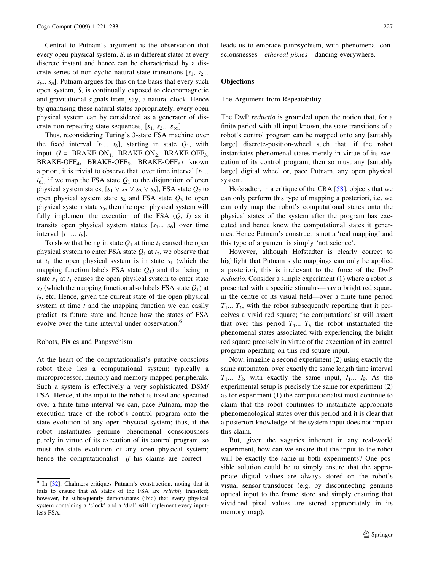Central to Putnam's argument is the observation that every open physical system, S, is in different states at every discrete instant and hence can be characterised by a discrete series of non-cyclic natural state transitions  $[s_1, s_2]$ ...  $s_t$ ...  $s_n$ ]. Putnam argues for this on the basis that every such open system, S, is continually exposed to electromagnetic and gravitational signals from, say, a natural clock. Hence by quantising these natural states appropriately, every open physical system can by considered as a generator of discrete non-repeating state sequences,  $[s_1, s_2, \ldots, s_{\infty}]$ .

Thus, reconsidering Turing's 3-state FSA machine over the fixed interval  $[t_1... t_6]$ , starting in state  $Q_1$ , with input  $(I = \text{BRAKE-ON}_1, \text{BRAKE-ON}_2, \text{BRAKE-OFF}_3,$  $BRAKE-OFF<sub>4</sub>$ ,  $BRAKE-OFF<sub>5</sub>$ ,  $BRAKE-OFF<sub>6</sub>$ ) known a priori, it is trivial to observe that, over time interval  $[t_1...]$  $t_6$ ], if we map the FSA state  $Q_1$  to the disjunction of open physical system states,  $[s_1 \vee s_2 \vee s_3 \vee s_6]$ , FSA state  $Q_2$  to open physical system state  $s_4$  and FSA state  $Q_3$  to open physical system state  $s<sub>5</sub>$ , then the open physical system will fully implement the execution of the FSA  $(Q, I)$  as it transits open physical system states  $[s_1... s_6]$  over time interval  $[t_1 \dots t_6]$ .

To show that being in state  $Q_1$  at time  $t_1$  caused the open physical system to enter FSA state  $Q_1$  at  $t_2$ , we observe that at  $t_1$  the open physical system is in state  $s_1$  (which the mapping function labels FSA state  $Q_1$ ) and that being in state  $s_1$  at  $t_1$  causes the open physical system to enter state  $s_2$  (which the mapping function also labels FSA state  $Q_1$ ) at  $t_2$ , etc. Hence, given the current state of the open physical system at time  $t$  and the mapping function we can easily predict its future state and hence how the states of FSA evolve over the time interval under observation.<sup>6</sup>

# Robots, Pixies and Panpsychism

At the heart of the computationalist's putative conscious robot there lies a computational system; typically a microprocessor, memory and memory-mapped peripherals. Such a system is effectively a very sophisticated DSM/ FSA. Hence, if the input to the robot is fixed and specified over a finite time interval we can, pace Putnam, map the execution trace of the robot's control program onto the state evolution of any open physical system; thus, if the robot instantiates genuine phenomenal consciousness purely in virtue of its execution of its control program, so must the state evolution of any open physical system; hence the computationalist—if his claims are correctleads us to embrace panpsychism, with phenomenal consciousnesses—ethereal pixies—dancing everywhere.

# **Objections**

The Argument from Repeatability

The DwP *reductio* is grounded upon the notion that, for a finite period with all input known, the state transitions of a robot's control program can be mapped onto any [suitably large] discrete-position-wheel such that, if the robot instantiates phenomenal states merely in virtue of its execution of its control program, then so must any [suitably large] digital wheel or, pace Putnam, any open physical system.

Hofstadter, in a critique of the CRA [\[58](#page-12-0)], objects that we can only perform this type of mapping a posteriori, i.e. we can only map the robot's computational states onto the physical states of the system after the program has executed and hence know the computational states it generates. Hence Putnam's construct is not a 'real mapping' and this type of argument is simply 'not science'.

However, although Hofstadter is clearly correct to highlight that Putnam style mappings can only be applied a posteriori, this is irrelevant to the force of the DwP reductio. Consider a simple experiment (1) where a robot is presented with a specific stimulus—say a bright red square in the centre of its visual field—over a finite time period  $T_1... T_k$ , with the robot subsequently reporting that it perceives a vivid red square; the computationalist will assert that over this period  $T_1... T_k$  the robot instantiated the phenomenal states associated with experiencing the bright red square precisely in virtue of the execution of its control program operating on this red square input.

Now, imagine a second experiment (2) using exactly the same automaton, over exactly the same length time interval  $T_1...$   $T_k$ , with exactly the same input,  $I_1... I_k$ . As the experimental setup is precisely the same for experiment (2) as for experiment (1) the computationalist must continue to claim that the robot continues to instantiate appropriate phenomenological states over this period and it is clear that a posteriori knowledge of the system input does not impact this claim.

But, given the vagaries inherent in any real-world experiment, how can we ensure that the input to the robot will be exactly the same in both experiments? One possible solution could be to simply ensure that the appropriate digital values are always stored on the robot's visual sensor-transducer (e.g. by disconnecting genuine optical input to the frame store and simply ensuring that vivid-red pixel values are stored appropriately in its memory map).

 $\overline{6}$  In [\[32\]](#page-11-0), Chalmers critiques Putnam's construction, noting that it fails to ensure that all states of the FSA are reliably transited; however, he subsequently demonstrates (ibid) that every physical system containing a 'clock' and a 'dial' will implement every inputless FSA.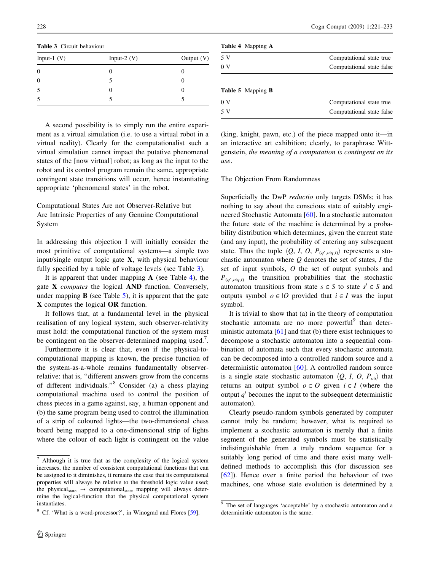Table 3 Circuit behaviour

| Input-1 $(V)$ | Input-2 $(V)$ | Output $(V)$ |
|---------------|---------------|--------------|
| $\theta$      | O             |              |
| $\theta$      |               |              |
|               | 0             |              |
|               |               |              |

A second possibility is to simply run the entire experiment as a virtual simulation (i.e. to use a virtual robot in a virtual reality). Clearly for the computationalist such a virtual simulation cannot impact the putative phenomenal states of the [now virtual] robot; as long as the input to the robot and its control program remain the same, appropriate contingent state transitions will occur, hence instantiating appropriate 'phenomenal states' in the robot.

Computational States Are not Observer-Relative but Are Intrinsic Properties of any Genuine Computational System

In addressing this objection I will initially consider the most primitive of computational systems—a simple two input/single output logic gate X, with physical behaviour fully specified by a table of voltage levels (see Table 3).

It is apparent that under mapping  $A$  (see Table 4), the gate X computes the logical AND function. Conversely, under mapping  $\bf{B}$  (see Table 5), it is apparent that the gate X computes the logical OR function.

It follows that, at a fundamental level in the physical realisation of any logical system, such observer-relativity must hold: the computational function of the system must be contingent on the observer-determined mapping used.<sup>7</sup>.

Furthermore it is clear that, even if the physical-tocomputational mapping is known, the precise function of the system-as-a-whole remains fundamentally observerrelative: that is, ''different answers grow from the concerns of different individuals.''<sup>8</sup> Consider (a) a chess playing computational machine used to control the position of chess pieces in a game against, say, a human opponent and (b) the same program being used to control the illumination of a strip of coloured lights—the two-dimensional chess board being mapped to a one-dimensional strip of lights where the colour of each light is contingent on the value

| <b>Table 4</b> Mapping A        |                           |
|---------------------------------|---------------------------|
| 5 V                             | Computational state true  |
| 0 <sub>V</sub>                  | Computational state false |
| <b>Table 5</b> Mapping <b>B</b> |                           |
| 0 <sub>V</sub>                  | Computational state true  |
| 5 V                             | Computational state false |
|                                 |                           |

(king, knight, pawn, etc.) of the piece mapped onto it—in an interactive art exhibition; clearly, to paraphrase Wittgenstein, the meaning of a computation is contingent on its use.

### The Objection From Randomness

Superficially the DwP reductio only targets DSMs; it has nothing to say about the conscious state of suitably engineered Stochastic Automata [\[60](#page-12-0)]. In a stochastic automaton the future state of the machine is determined by a probability distribution which determines, given the current state (and any input), the probability of entering any subsequent state. Thus the tuple  $\langle Q, I, O, P_{(q',o|q,i)} \rangle$  represents a stochastic automaton where  $Q$  denotes the set of states,  $I$  the set of input symbols, O the set of output symbols and  $P_{(q',o|q,i)}$  the transition probabilities that the stochastic automaton transitions from state  $s \in S$  to state  $s' \in S$  and outputs symbol  $o \in |O$  provided that  $i \in I$  was the input symbol.

It is trivial to show that (a) in the theory of computation stochastic automata are no more powerful<sup>9</sup> than deterministic automata  $[61]$  $[61]$  and that (b) there exist techniques to decompose a stochastic automaton into a sequential combination of automata such that every stochastic automata can be decomposed into a controlled random source and a deterministic automaton [[60\]](#page-12-0). A controlled random source is a single state stochastic automaton  $\langle Q, I, O, P_{\text{o}}\rangle$  that returns an output symbol  $o \in O$  given  $i \in I$  (where the output  $q'$  becomes the input to the subsequent deterministic automaton).

Clearly pseudo-random symbols generated by computer cannot truly be random; however, what is required to implement a stochastic automaton is merely that a finite segment of the generated symbols must be statistically indistinguishable from a truly random sequence for a suitably long period of time and there exist many welldefined methods to accomplish this (for discussion see [\[62](#page-12-0)]). Hence over a finite period the behaviour of two machines, one whose state evolution is determined by a

 $\frac{7}{7}$  Although it is true that as the complexity of the logical system increases, the number of consistent computational functions that can be assigned to it diminishes, it remains the case that its computational properties will always be relative to the threshold logic value used; the physical<sub>state</sub>  $\rightarrow$  computational<sub>state</sub> mapping will always determine the logical-function that the physical computational system instantiates.

<sup>&</sup>lt;sup>8</sup> Cf. 'What is a word-processor?', in Winograd and Flores [\[59\]](#page-12-0).

<sup>9</sup> The set of languages 'acceptable' by a stochastic automaton and a deterministic automaton is the same.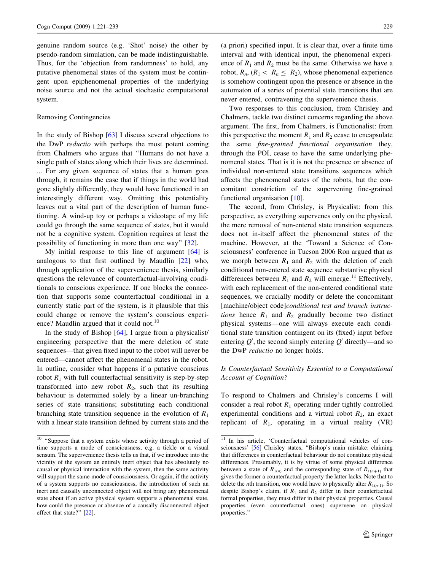<span id="page-8-0"></span>genuine random source (e.g. 'Shot' noise) the other by pseudo-random simulation, can be made indistinguishable. Thus, for the 'objection from randomness' to hold, any putative phenomenal states of the system must be contingent upon epiphenomenal properties of the underlying noise source and not the actual stochastic computational system.

## Removing Contingencies

In the study of Bishop [[63\]](#page-12-0) I discuss several objections to the DwP reductio with perhaps the most potent coming from Chalmers who argues that ''Humans do not have a single path of states along which their lives are determined. ... For any given sequence of states that a human goes through, it remains the case that if things in the world had gone slightly differently, they would have functioned in an interestingly different way. Omitting this potentiality leaves out a vital part of the description of human functioning. A wind-up toy or perhaps a videotape of my life could go through the same sequence of states, but it would not be a cognitive system. Cognition requires at least the possibility of functioning in more than one way'' [\[32](#page-11-0)].

My initial response to this line of argument [[64\]](#page-12-0) is analogous to that first outlined by Maudlin [\[22](#page-11-0)] who, through application of the supervenience thesis, similarly questions the relevance of counterfactual-involving conditionals to conscious experience. If one blocks the connection that supports some counterfactual conditional in a currently static part of the system, is it plausible that this could change or remove the system's conscious experience? Maudlin argued that it could not.<sup>10</sup>

In the study of Bishop [\[64](#page-12-0)], I argue from a physicalist/ engineering perspective that the mere deletion of state sequences—that given fixed input to the robot will never be entered—cannot affect the phenomenal states in the robot. In outline, consider what happens if a putative conscious robot  $R_1$  with full counterfactual sensitivity is step-by-step transformed into new robot  $R_2$ , such that its resulting behaviour is determined solely by a linear un-branching series of state transitions; substituting each conditional branching state transition sequence in the evolution of  $R_1$ with a linear state transition defined by current state and the (a priori) specified input. It is clear that, over a finite time interval and with identical input, the phenomenal experience of  $R_1$  and  $R_2$  must be the same. Otherwise we have a robot,  $R_n$ ,  $(R_1 < R_n \leq R_2)$ , whose phenomenal experience is somehow contingent upon the presence or absence in the automaton of a series of potential state transitions that are never entered, contravening the supervenience thesis.

Two responses to this conclusion, from Chrisley and Chalmers, tackle two distinct concerns regarding the above argument. The first, from Chalmers, is Functionalist: from this perspective the moment  $R_1$  and  $R_2$  cease to encapsulate the same fine-grained functional organisation they, through the POI, cease to have the same underlying phenomenal states. That is it is not the presence or absence of individual non-entered state transitions sequences which affects the phenomenal states of the robots, but the concomitant constriction of the supervening fine-grained functional organisation [\[10](#page-11-0)].

The second, from Chrisley, is Physicalist: from this perspective, as everything supervenes only on the physical, the mere removal of non-entered state transition sequences does not in-itself affect the phenomenal states of the machine. However, at the 'Toward a Science of Consciousness' conference in Tucson 2006 Ron argued that as we morph between  $R_1$  and  $R_2$  with the deletion of each conditional non-entered state sequence substantive physical differences between  $R_1$  and  $R_2$  will emerge.<sup>11</sup> Effectively, with each replacement of the non-entered conditional state sequences, we crucially modify or delete the concomitant [machine/object code]conditional test and branch instructions hence  $R_1$  and  $R_2$  gradually become two distinct physical systems—one will always execute each conditional state transition contingent on its (fixed) input before entering  $Q'$ , the second simply entering  $Q'$  directly—and so the DwP reductio no longer holds.

# Is Counterfactual Sensitivity Essential to a Computational Account of Cognition?

To respond to Chalmers and Chrisley's concerns I will consider a real robot  $R_1$  operating under tightly controlled experimental conditions and a virtual robot  $R<sub>2</sub>$ , an exact replicant of  $R_1$ , operating in a virtual reality (VR)

 $\frac{10}{10}$  "Suppose that a system exists whose activity through a period of time supports a mode of consciousness, e.g. a tickle or a visual sensum. The supervenience thesis tells us that, if we introduce into the vicinity of the system an entirely inert object that has absolutely no causal or physical interaction with the system, then the same activity will support the same mode of consciousness. Or again, if the activity of a system supports no consciousness, the introduction of such an inert and causally unconnected object will not bring any phenomenal state about if an active physical system supports a phenomenal state, how could the presence or absence of a causally disconnected object effect that state?'' [[22](#page-11-0)].

 $11$  In his article, 'Counterfactual computational vehicles of consciousness' [\[56\]](#page-12-0) Chrisley states, ''Bishop's main mistake: claiming that differences in counterfactual behaviour do not constitute physical differences. Presumably, it is by virtue of some physical difference between a state of  $R_{1(n)}$  and the corresponding state of  $R_{1(n+1)}$  that gives the former a counterfactual property the latter lacks. Note that to delete the *n*th transition, one would have to physically alter  $R_{1(n-1)}$ . So despite Bishop's claim, if  $R_1$  and  $R_2$  differ in their counterfactual formal properties, they must differ in their physical properties. Causal properties (even counterfactual ones) supervene on physical properties.''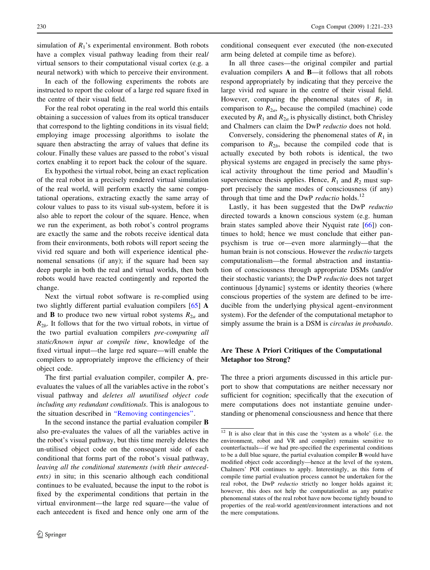simulation of  $R_1$ 's experimental environment. Both robots have a complex visual pathway leading from their real/ virtual sensors to their computational visual cortex (e.g. a neural network) with which to perceive their environment.

In each of the following experiments the robots are instructed to report the colour of a large red square fixed in the centre of their visual field.

For the real robot operating in the real world this entails obtaining a succession of values from its optical transducer that correspond to the lighting conditions in its visual field; employing image processing algorithms to isolate the square then abstracting the array of values that define its colour. Finally these values are passed to the robot's visual cortex enabling it to report back the colour of the square.

Ex hypothesi the virtual robot, being an exact replication of the real robot in a precisely rendered virtual simulation of the real world, will perform exactly the same computational operations, extracting exactly the same array of colour values to pass to its visual sub-system, before it is also able to report the colour of the square. Hence, when we run the experiment, as both robot's control programs are exactly the same and the robots receive identical data from their environments, both robots will report seeing the vivid red square and both will experience identical phenomenal sensations (if any); if the square had been say deep purple in both the real and virtual worlds, then both robots would have reacted contingently and reported the change.

Next the virtual robot software is re-complied using two slightly different partial evaluation compilers [[65\]](#page-12-0) A and **B** to produce two new virtual robot systems  $R_{2a}$  and  $R_{2b}$ . It follows that for the two virtual robots, in virtue of the two partial evaluation compilers pre-computing all static/known input at compile time, knowledge of the fixed virtual input—the large red square—will enable the compilers to appropriately improve the efficiency of their object code.

The first partial evaluation compiler, compiler A, preevaluates the values of all the variables active in the robot's visual pathway and deletes all unutilised object code including any redundant conditionals. This is analogous to the situation described in [''Removing contingencies''](#page-8-0).

In the second instance the partial evaluation compiler B also pre-evaluates the values of all the variables active in the robot's visual pathway, but this time merely deletes the un-utilised object code on the consequent side of each conditional that forms part of the robot's visual pathway, leaving all the conditional statements (with their antecedents) in situ; in this scenario although each conditional continues to be evaluated, because the input to the robot is fixed by the experimental conditions that pertain in the virtual environment—the large red square—the value of each antecedent is fixed and hence only one arm of the conditional consequent ever executed (the non-executed arm being deleted at compile time as before).

In all three cases—the original compiler and partial evaluation compilers A and B—it follows that all robots respond appropriately by indicating that they perceive the large vivid red square in the centre of their visual field. However, comparing the phenomenal states of  $R_1$  in comparison to  $R_{2a}$ , because the compiled (machine) code executed by  $R_1$  and  $R_{2a}$  is physically distinct, both Chrisley and Chalmers can claim the DwP reductio does not hold.

Conversely, considering the phenomenal states of  $R_1$  in comparison to  $R_{2b}$ , because the compiled code that is actually executed by both robots is identical, the two physical systems are engaged in precisely the same physical activity throughout the time period and Maudlin's supervenience thesis applies. Hence,  $R_1$  and  $R_2$  must support precisely the same modes of consciousness (if any) through that time and the DwP *reductio* holds.<sup>12</sup>

Lastly, it has been suggested that the DwP reductio directed towards a known conscious system (e.g. human brain states sampled above their Nyquist rate [\[66](#page-12-0)]) continues to hold; hence we must conclude that either panpsychism is true or—even more alarmingly—that the human brain is not conscious. However the reductio targets computationalism—the formal abstraction and instantiation of consciousness through appropriate DSMs (and/or their stochastic variants); the DwP reductio does not target continuous [dynamic] systems or identity theories (where conscious properties of the system are defined to be irreducible from the underlying physical agent–environment system). For the defender of the computational metaphor to simply assume the brain is a DSM is *circulus in probando*.

# Are These A Priori Critiques of the Computational Metaphor too Strong?

The three a priori arguments discussed in this article purport to show that computations are neither necessary nor sufficient for cognition; specifically that the execution of mere computations does not instantiate genuine understanding or phenomenal consciousness and hence that there

 $\frac{12}{12}$  It is also clear that in this case the 'system as a whole' (i.e. the environment, robot and VR and compiler) remains sensitive to counterfactuals—if we had pre-specified the experimental conditions to be a dull blue square, the partial evaluation compiler B would have modified object code accordingly—hence at the level of the system, Chalmers' POI continues to apply. Interestingly, as this form of compile time partial evaluation process cannot be undertaken for the real robot, the DwP reductio strictly no longer holds against it; however, this does not help the computationlist as any putative phenomenal states of the real robot have now become tightly bound to properties of the real-world agent/environment interactions and not the mere computations.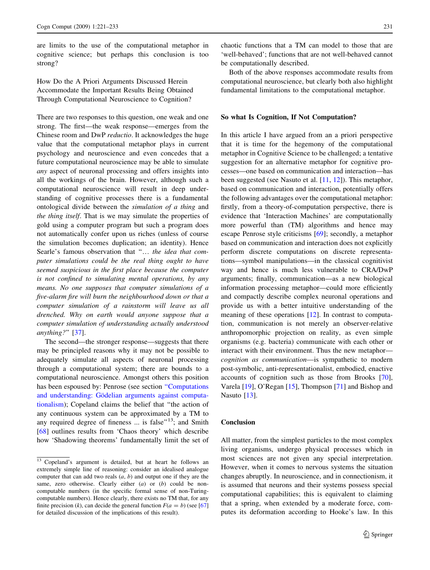are limits to the use of the computational metaphor in cognitive science; but perhaps this conclusion is too strong?

How Do the A Priori Arguments Discussed Herein Accommodate the Important Results Being Obtained Through Computational Neuroscience to Cognition?

There are two responses to this question, one weak and one strong. The first—the weak response—emerges from the Chinese room and DwP reductio. It acknowledges the huge value that the computational metaphor plays in current psychology and neuroscience and even concedes that a future computational neuroscience may be able to simulate any aspect of neuronal processing and offers insights into all the workings of the brain. However, although such a computational neuroscience will result in deep understanding of cognitive processes there is a fundamental ontological divide between the simulation of a thing and the thing itself. That is we may simulate the properties of gold using a computer program but such a program does not automatically confer upon us riches (unless of course the simulation becomes duplication; an identity). Hence Searle's famous observation that "... the idea that computer simulations could be the real thing ought to have seemed suspicious in the first place because the computer is not confined to simulating mental operations, by any means. No one supposes that computer simulations of a five-alarm fire will burn the neighbourhood down or that a computer simulation of a rainstorm will leave us all drenched. Why on earth would anyone suppose that a computer simulation of understanding actually understood anything?'' [\[37](#page-12-0)].

The second—the stronger response—suggests that there may be principled reasons why it may not be possible to adequately simulate all aspects of neuronal processing through a computational system; there are bounds to a computational neuroscience. Amongst others this position has been espoused by: Penrose (see section [''Computations](#page-2-0) and understanding: Gödelian arguments against computa[tionalism](#page-2-0)); Copeland claims the belief that ''the action of any continuous system can be approximated by a TM to any required degree of fineness ... is false"<sup>13</sup>; and Smith [\[68](#page-12-0)] outlines results from 'Chaos theory' which describe how 'Shadowing theorems' fundamentally limit the set of chaotic functions that a TM can model to those that are 'well-behaved'; functions that are not well-behaved cannot be computationally described.

Both of the above responses accommodate results from computational neuroscience, but clearly both also highlight fundamental limitations to the computational metaphor.

## So what Is Cognition, If Not Computation?

In this article I have argued from an a priori perspective that it is time for the hegemony of the computational metaphor in Cognitive Science to be challenged; a tentative suggestion for an alternative metaphor for cognitive processes—one based on communication and interaction—has been suggested (see Nasuto et al. [\[11](#page-11-0), [12](#page-11-0)]). This metaphor, based on communication and interaction, potentially offers the following advantages over the computational metaphor: firstly, from a theory-of-computation perspective, there is evidence that 'Interaction Machines' are computationally more powerful than (TM) algorithms and hence may escape Penrose style criticisms [\[69](#page-12-0)]; secondly, a metaphor based on communication and interaction does not explicitly perform discrete computations on discrete representations—symbol manipulations—in the classical cognitivist way and hence is much less vulnerable to CRA/DwP arguments; finally, communication—as a new biological information processing metaphor—could more efficiently and compactly describe complex neuronal operations and provide us with a better intuitive understanding of the meaning of these operations [[12\]](#page-11-0). In contrast to computation, communication is not merely an observer-relative anthropomorphic projection on reality, as even simple organisms (e.g. bacteria) communicate with each other or interact with their environment. Thus the new metaphor cognition as communication—is sympathetic to modern post-symbolic, anti-representationalist, embodied, enactive accounts of cognition such as those from Brooks [\[70](#page-12-0)], Varela [[19\]](#page-11-0), O'Regan [\[15](#page-11-0)], Thompson [\[71](#page-12-0)] and Bishop and Nasuto [\[13](#page-11-0)].

# Conclusion

All matter, from the simplest particles to the most complex living organisms, undergo physical processes which in most sciences are not given any special interpretation. However, when it comes to nervous systems the situation changes abruptly. In neuroscience, and in connectionism, it is assumed that neurons and their systems possess special computational capabilities; this is equivalent to claiming that a spring, when extended by a moderate force, computes its deformation according to Hooke's law. In this

 $13$  Copeland's argument is detailed, but at heart he follows an extremely simple line of reasoning: consider an idealised analogue computer that can add two reals  $(a, b)$  and output one if they are the same, zero otherwise. Clearly either  $(a)$  or  $(b)$  could be noncomputable numbers (in the specific formal sense of non-Turingcomputable numbers). Hence clearly, there exists no TM that, for any finite precision (k), can decide the general function  $F(a = b)$  (see [[67](#page-12-0)] for detailed discussion of the implications of this result).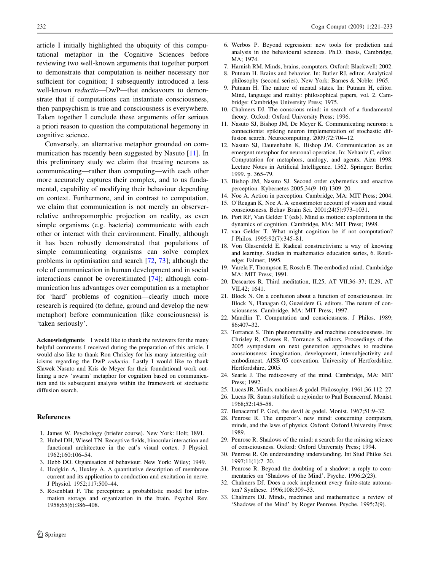<span id="page-11-0"></span>article I initially highlighted the ubiquity of this computational metaphor in the Cognitive Sciences before reviewing two well-known arguments that together purport to demonstrate that computation is neither necessary nor sufficient for cognition; I subsequently introduced a less well-known reductio—DwP—that endeavours to demonstrate that if computations can instantiate consciousness, then panpsychism is true and consciousness is everywhere. Taken together I conclude these arguments offer serious a priori reason to question the computational hegemony in cognitive science.

Conversely, an alternative metaphor grounded on communication has recently been suggested by Nasuto [11]. In this preliminary study we claim that treating neurons as communicating—rather than computing—with each other more accurately captures their complex, and to us fundamental, capability of modifying their behaviour depending on context. Furthermore, and in contrast to computation, we claim that communication is not merely an observerrelative anthropomorphic projection on reality, as even simple organisms (e.g. bacteria) communicate with each other or interact with their environment. Finally, although it has been robustly demonstrated that populations of simple communicating organisms can solve complex problems in optimisation and search [\[72](#page-12-0), [73\]](#page-12-0); although the role of communication in human development and in social interactions cannot be overestimated [\[74](#page-12-0)]; although communication has advantages over computation as a metaphor for 'hard' problems of cognition—clearly much more research is required (to define, ground and develop the new metaphor) before communication (like consciousness) is 'taken seriously'.

Acknowledgments I would like to thank the reviewers for the many helpful comments I received during the preparation of this article. I would also like to thank Ron Chrisley for his many interesting criticisms regarding the DwP reductio. Lastly I would like to thank Slawek Nasuto and Kris de Meyer for their foundational work outlining a new 'swarm' metaphor for cognition based on communication and its subsequent analysis within the framework of stochastic diffusion search.

#### References

- 1. James W. Psychology (briefer course). New York: Holt; 1891.
- 2. Hubel DH, Wiesel TN. Receptive fields, binocular interaction and functional architecture in the cat's visual cortex. J Physiol. 1962;160:106–54.
- 3. Hebb DO. Organisation of behaviour. New York: Wiley; 1949.
- 4. Hodgkin A, Huxley A. A quantitative description of membrane current and its application to conduction and excitation in nerve. J Physiol. 1952;117:500–44.
- 5. Rosenblatt F. The perceptron: a probabilistic model for information storage and organization in the brain. Psychol Rev. 1958;65(6):386–408.
- 6. Werbos P. Beyond regression: new tools for prediction and analysis in the behavioural sciences. Ph.D. thesis, Cambridge, MA; 1974.
- 7. Harnish RM. Minds, brains, computers. Oxford: Blackwell; 2002.
- 8. Putnam H. Brains and behavior. In: Butler RJ, editor. Analytical philosophy (second series). New York: Barnes & Noble; 1965.
- 9. Putnam H. The nature of mental states. In: Putnam H, editor. Mind, language and reality: philosophical papers, vol. 2. Cambridge: Cambridge University Press; 1975.
- 10. Chalmers DJ. The conscious mind: in search of a fundamental theory. Oxford: Oxford University Press; 1996.
- 11. Nasuto SJ, Bishop JM, De Meyer K. Communicating neurons: a connectionist spiking neuron implementation of stochastic diffusion search. Neurocomputing. 2009;72:704–12.
- 12. Nasuto SJ, Dautenhahn K, Bishop JM. Communication as an emergent metaphor for neuronal operation. In: Nehaniv C, editor. Computation for metaphors, analogy, and agents, Aizu 1998. Lecture Notes in Artificial Intelligence, 1562. Springer: Berlin; 1999. p. 365–79.
- 13. Bishop JM, Nasuto SJ. Second order cybernetics and enactive perception. Kybernetes 2005;34(9–10):1309–20.
- 14. Noe A. Action in perception. Cambridge, MA: MIT Press; 2004.
- 15. O'Reagan K, Noe A. A sensorimotor account of vision and visual consciousness. Behav Brain Sci. 2001;24(5):973–1031.
- 16. Port RF, Van Gelder T (eds). Mind as motion: explorations in the dynamics of cognition. Cambridge, MA: MIT Press; 1998.
- 17. van Gelder T. What might cognition be if not computation? J Philos. 1995;92(7):345–81.
- 18. Von Glasersfeld E. Radical constructivism: a way of knowing and learning. Studies in mathematics education series, 6. Routledge: Falmer; 1995.
- 19. Varela F, Thompson E, Rosch E. The embodied mind. Cambridge MA: MIT Press; 1991.
- 20. Descartes R. Third meditation, II.25, AT VII.36–37; II.29, AT VII.42; 1641.
- 21. Block N. On a confusion about a function of consciousness. In: Block N, Flanagan O, Guzeldere G, editors. The nature of consciousness. Cambridge, MA: MIT Press; 1997.
- 22. Maudlin T. Computation and consciousness. J Philos. 1989; 86:407–32.
- 23. Torrance S. Thin phenomenality and machine consciousness. In: Chrisley R, Clowes R, Torrance S, editors. Proceedings of the 2005 symposium on next generation approaches to machine consciousness: imagination, development, intersubjectivity and embodiment, AISB'05 convention. University of Hertfordshire, Hertfordshire, 2005.
- 24. Searle J. The rediscovery of the mind. Cambridge, MA: MIT Press; 1992.
- 25. Lucas JR. Minds, machines & godel. Philosophy. 1961;36:112–27.
- 26. Lucas JR. Satan stultified: a rejoinder to Paul Benacerraf. Monist. 1968;52:145–58.
- 27. Benacerraf P. God, the devil & godel. Monist. 1967;51:9–32.
- 28. Penrose R. The emperor's new mind: concerning computers, minds, and the laws of physics. Oxford: Oxford University Press; 1989.
- 29. Penrose R. Shadows of the mind: a search for the missing science of consciousness. Oxford: Oxford University Press; 1994.
- 30. Penrose R. On understanding understanding. Int Stud Philos Sci. 1997;11(1):7–20.
- 31. Penrose R. Beyond the doubting of a shadow: a reply to commentaries on 'Shadows of the Mind'. Psyche. 1996;2(23).
- 32. Chalmers DJ. Does a rock implement every finite-state automaton? Synthese. 1996;108:309–33.
- 33. Chalmers DJ. Minds, machines and mathematics: a review of 'Shadows of the Mind' by Roger Penrose. Psyche. 1995;2(9).